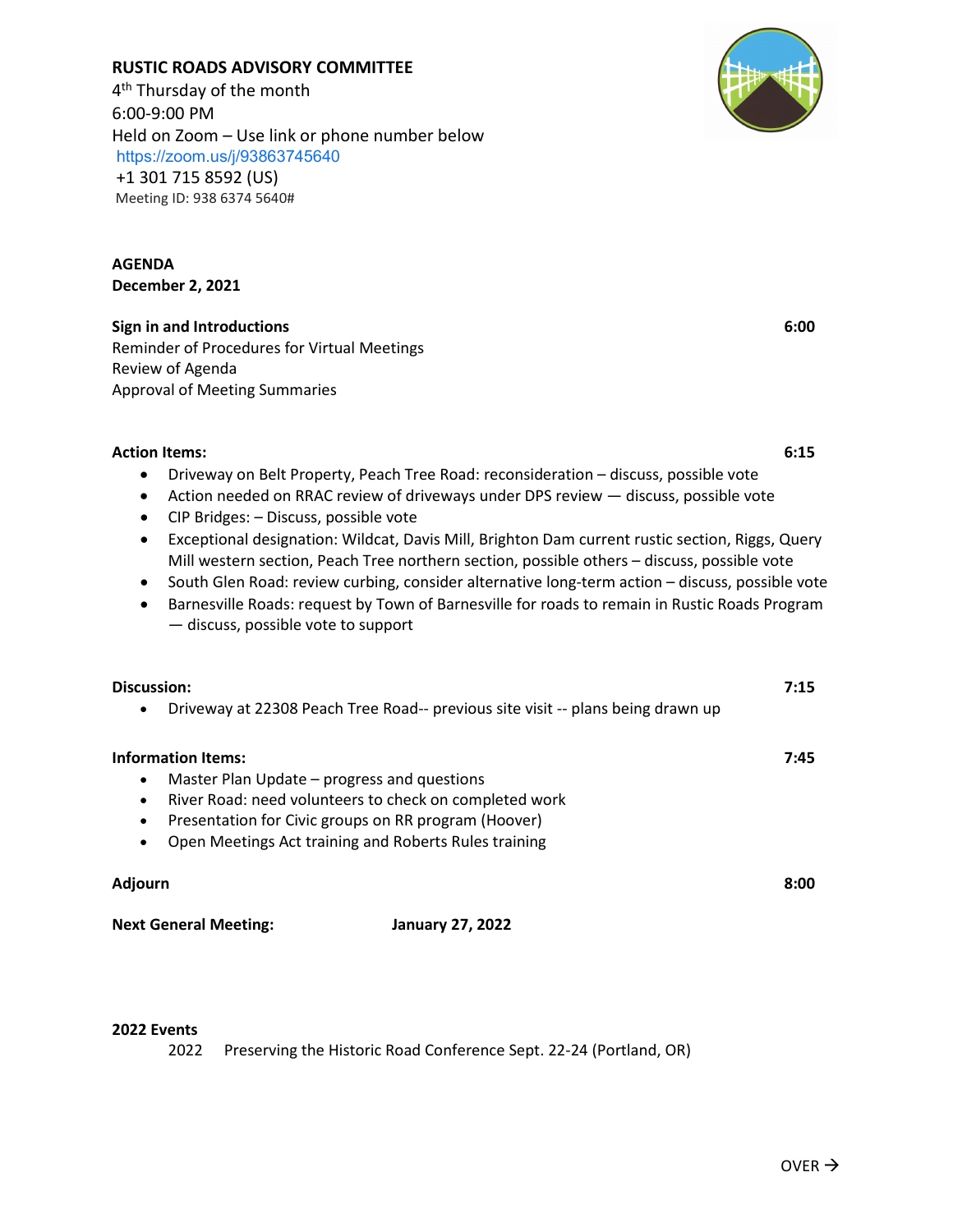# **RUSTIC ROADS ADVISORY COMMITTEE**

4<sup>th</sup> Thursday of the month 6:00-9:00 PM Held on Zoom – Use link or phone number below <https://zoom.us/j/93863745640> +1 301 715 8592 (US) Meeting ID: 938 6374 5640#

**AGENDA December 2, 2021**

### **Sign in and Introductions 6:00**

Reminder of Procedures for Virtual Meetings Review of Agenda Approval of Meeting Summaries

### **Action Items: 6:15**

- Driveway on Belt Property, Peach Tree Road: reconsideration discuss, possible vote
- Action needed on RRAC review of driveways under DPS review discuss, possible vote
- CIP Bridges: Discuss, possible vote
- Exceptional designation: Wildcat, Davis Mill, Brighton Dam current rustic section, Riggs, Query Mill western section, Peach Tree northern section, possible others – discuss, possible vote
- South Glen Road: review curbing, consider alternative long-term action discuss, possible vote
- Barnesville Roads: request by Town of Barnesville for roads to remain in Rustic Roads Program — discuss, possible vote to support

| Discussion:                                              |                                                                                 | 7:15 |
|----------------------------------------------------------|---------------------------------------------------------------------------------|------|
| $\bullet$                                                | Driveway at 22308 Peach Tree Road-- previous site visit -- plans being drawn up |      |
| <b>Information Items:</b>                                |                                                                                 | 7:45 |
| Master Plan Update - progress and questions<br>$\bullet$ |                                                                                 |      |
| $\bullet$                                                | River Road: need volunteers to check on completed work                          |      |
| $\bullet$                                                | Presentation for Civic groups on RR program (Hoover)                            |      |
| $\bullet$                                                | Open Meetings Act training and Roberts Rules training                           |      |
| <b>Adjourn</b>                                           |                                                                                 | 8:00 |
| <b>Next General Meeting:</b>                             | <b>January 27, 2022</b>                                                         |      |

### **2022 Events**

2022 Preserving the Historic Road Conference Sept. 22-24 (Portland, OR)